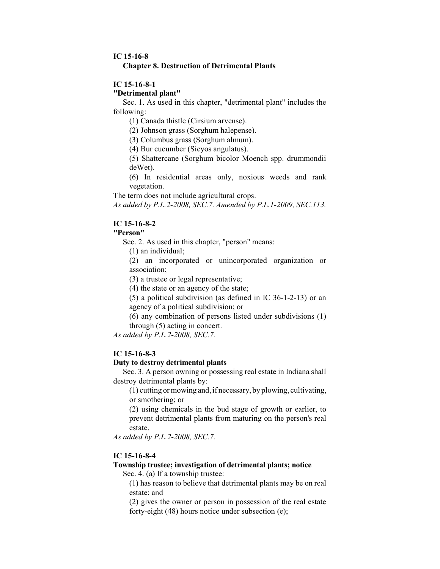### **IC 15-16-8 Chapter 8. Destruction of Detrimental Plants**

## **IC 15-16-8-1**

### **"Detrimental plant"**

Sec. 1. As used in this chapter, "detrimental plant" includes the following:

(1) Canada thistle (Cirsium arvense).

(2) Johnson grass (Sorghum halepense).

(3) Columbus grass (Sorghum almum).

(4) Bur cucumber (Sicyos angulatus).

(5) Shattercane (Sorghum bicolor Moench spp. drummondii deWet).

(6) In residential areas only, noxious weeds and rank vegetation.

The term does not include agricultural crops.

*As added by P.L.2-2008, SEC.7. Amended by P.L.1-2009, SEC.113.*

## **IC 15-16-8-2**

# **"Person"**

Sec. 2. As used in this chapter, "person" means:

(1) an individual;

(2) an incorporated or unincorporated organization or association;

(3) a trustee or legal representative;

(4) the state or an agency of the state;

(5) a political subdivision (as defined in IC 36-1-2-13) or an agency of a political subdivision; or

(6) any combination of persons listed under subdivisions (1) through (5) acting in concert.

*As added by P.L.2-2008, SEC.7.*

# **IC 15-16-8-3**

#### **Duty to destroy detrimental plants**

Sec. 3. A person owning or possessing real estate in Indiana shall destroy detrimental plants by:

(1) cutting or mowing and, if necessary, by plowing, cultivating, or smothering; or

(2) using chemicals in the bud stage of growth or earlier, to prevent detrimental plants from maturing on the person's real estate.

*As added by P.L.2-2008, SEC.7.*

# **IC 15-16-8-4**

### **Township trustee; investigation of detrimental plants; notice**

Sec. 4. (a) If a township trustee:

(1) has reason to believe that detrimental plants may be on real estate; and

(2) gives the owner or person in possession of the real estate forty-eight (48) hours notice under subsection (e);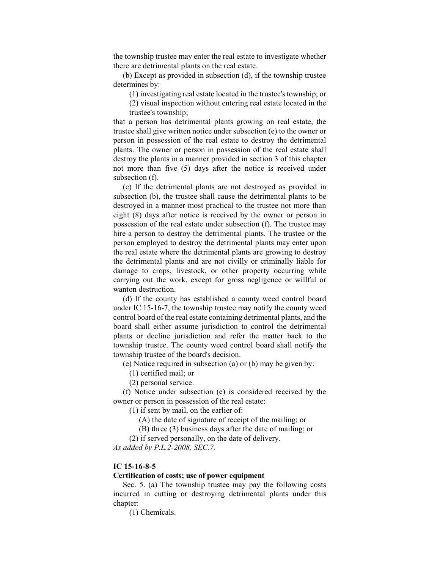the township trustee may enter the real estate to investigate whether there are detrimental plants on the real estate.

(b) Except as provided in subsection (d), if the township trustee determines by:

(1) investigating real estate located in the trustee's township; or

(2) visual inspection without entering real estate located in the trustee's township;

that a person has detrimental plants growing on real estate, the trustee shall give written notice under subsection (e) to the owner or person in possession of the real estate to destroy the detrimental plants. The owner or person in possession of the real estate shall destroy the plants in a manner provided in section 3 of this chapter not more than five (5) days after the notice is received under subsection (f).

(c) If the detrimental plants are not destroyed as provided in subsection (b), the trustee shall cause the detrimental plants to be destroyed in a manner most practical to the trustee not more than eight (8) days after notice is received by the owner or person in possession of the real estate under subsection (f). The trustee may hire a person to destroy the detrimental plants. The trustee or the person employed to destroy the detrimental plants may enter upon the real estate where the detrimental plants are growing to destroy the detrimental plants and are not civilly or criminally liable for damage to crops, livestock, or other property occurring while carrying out the work, except for gross negligence or willful or wanton destruction.

(d) If the county has established a county weed control board under IC 15-16-7, the township trustee may notify the county weed control board of the real estate containing detrimental plants, and the board shall either assume jurisdiction to control the detrimental plants or decline jurisdiction and refer the matter back to the township trustee. The county weed control board shall notify the township trustee of the board's decision.

(e) Notice required in subsection (a) or (b) may be given by:

(1) certified mail; or

(2) personal service.

(f) Notice under subsection (e) is considered received by the owner or person in possession of the real estate:

(1) if sent by mail, on the earlier of:

(A) the date of signature of receipt of the mailing; or

(B) three (3) business days after the date of mailing; or

(2) if served personally, on the date of delivery.

*As added by P.L.2-2008, SEC.7.*

## **IC 15-16-8-5**

### **Certification of costs; use of power equipment**

Sec. 5. (a) The township trustee may pay the following costs incurred in cutting or destroying detrimental plants under this chapter:

(1) Chemicals.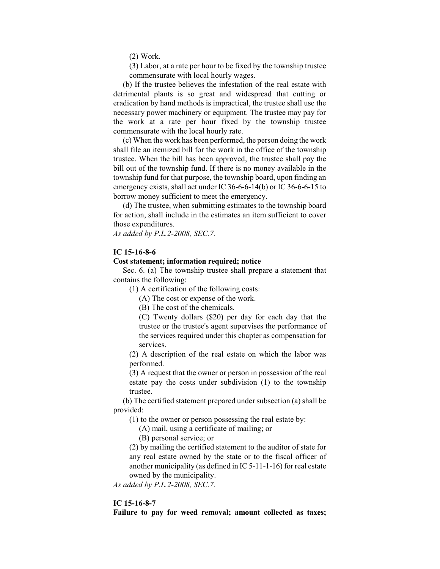(2) Work.

(3) Labor, at a rate per hour to be fixed by the township trustee commensurate with local hourly wages.

(b) If the trustee believes the infestation of the real estate with detrimental plants is so great and widespread that cutting or eradication by hand methods is impractical, the trustee shall use the necessary power machinery or equipment. The trustee may pay for the work at a rate per hour fixed by the township trustee commensurate with the local hourly rate.

(c) When the work has been performed, the person doing the work shall file an itemized bill for the work in the office of the township trustee. When the bill has been approved, the trustee shall pay the bill out of the township fund. If there is no money available in the township fund for that purpose, the township board, upon finding an emergency exists, shall act under IC 36-6-6-14(b) or IC 36-6-6-15 to borrow money sufficient to meet the emergency.

(d) The trustee, when submitting estimates to the township board for action, shall include in the estimates an item sufficient to cover those expenditures.

*As added by P.L.2-2008, SEC.7.*

### **IC 15-16-8-6**

### **Cost statement; information required; notice**

Sec. 6. (a) The township trustee shall prepare a statement that contains the following:

(1) A certification of the following costs:

(A) The cost or expense of the work.

(B) The cost of the chemicals.

(C) Twenty dollars (\$20) per day for each day that the trustee or the trustee's agent supervises the performance of the services required under this chapter as compensation for services.

(2) A description of the real estate on which the labor was performed.

(3) A request that the owner or person in possession of the real estate pay the costs under subdivision (1) to the township trustee.

(b) The certified statement prepared under subsection (a) shall be provided:

(1) to the owner or person possessing the real estate by:

(A) mail, using a certificate of mailing; or

(B) personal service; or

(2) by mailing the certified statement to the auditor of state for any real estate owned by the state or to the fiscal officer of another municipality (as defined in IC 5-11-1-16) for real estate owned by the municipality.

*As added by P.L.2-2008, SEC.7.*

## **IC 15-16-8-7**

**Failure to pay for weed removal; amount collected as taxes;**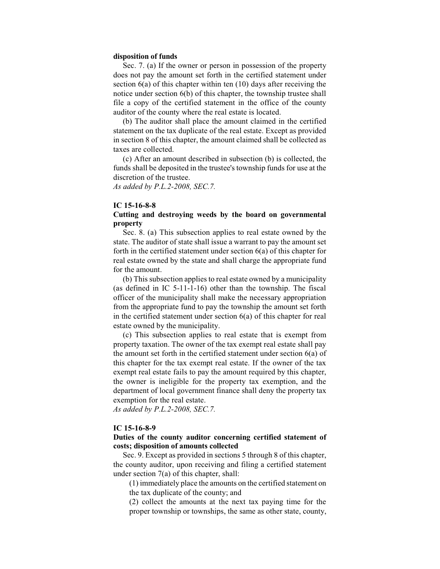#### **disposition of funds**

Sec. 7. (a) If the owner or person in possession of the property does not pay the amount set forth in the certified statement under section 6(a) of this chapter within ten (10) days after receiving the notice under section 6(b) of this chapter, the township trustee shall file a copy of the certified statement in the office of the county auditor of the county where the real estate is located.

(b) The auditor shall place the amount claimed in the certified statement on the tax duplicate of the real estate. Except as provided in section 8 of this chapter, the amount claimed shall be collected as taxes are collected.

(c) After an amount described in subsection (b) is collected, the funds shall be deposited in the trustee's township funds for use at the discretion of the trustee.

*As added by P.L.2-2008, SEC.7.*

## **IC 15-16-8-8**

## **Cutting and destroying weeds by the board on governmental property**

Sec. 8. (a) This subsection applies to real estate owned by the state. The auditor of state shall issue a warrant to pay the amount set forth in the certified statement under section 6(a) of this chapter for real estate owned by the state and shall charge the appropriate fund for the amount.

(b) This subsection applies to real estate owned by a municipality (as defined in IC 5-11-1-16) other than the township. The fiscal officer of the municipality shall make the necessary appropriation from the appropriate fund to pay the township the amount set forth in the certified statement under section 6(a) of this chapter for real estate owned by the municipality.

(c) This subsection applies to real estate that is exempt from property taxation. The owner of the tax exempt real estate shall pay the amount set forth in the certified statement under section 6(a) of this chapter for the tax exempt real estate. If the owner of the tax exempt real estate fails to pay the amount required by this chapter, the owner is ineligible for the property tax exemption, and the department of local government finance shall deny the property tax exemption for the real estate.

*As added by P.L.2-2008, SEC.7.*

## **IC 15-16-8-9**

## **Duties of the county auditor concerning certified statement of costs; disposition of amounts collected**

Sec. 9. Except as provided in sections 5 through 8 of this chapter, the county auditor, upon receiving and filing a certified statement under section 7(a) of this chapter, shall:

(1) immediately place the amounts on the certified statement on the tax duplicate of the county; and

(2) collect the amounts at the next tax paying time for the proper township or townships, the same as other state, county,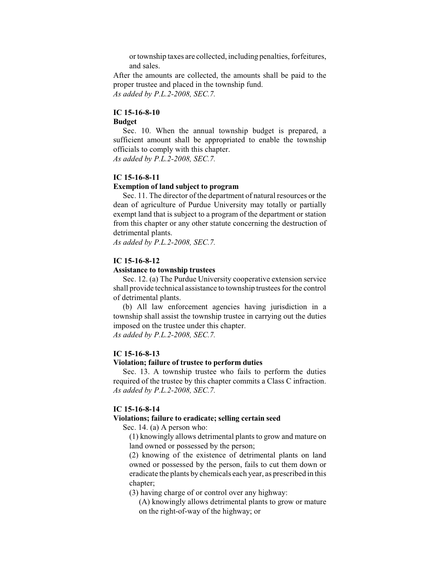or township taxes are collected, including penalties, forfeitures, and sales.

After the amounts are collected, the amounts shall be paid to the proper trustee and placed in the township fund. *As added by P.L.2-2008, SEC.7.*

### **IC 15-16-8-10**

#### **Budget**

Sec. 10. When the annual township budget is prepared, a sufficient amount shall be appropriated to enable the township officials to comply with this chapter.

*As added by P.L.2-2008, SEC.7.*

## **IC 15-16-8-11**

#### **Exemption of land subject to program**

Sec. 11. The director of the department of natural resources or the dean of agriculture of Purdue University may totally or partially exempt land that is subject to a program of the department or station from this chapter or any other statute concerning the destruction of detrimental plants.

*As added by P.L.2-2008, SEC.7.*

## **IC 15-16-8-12**

#### **Assistance to township trustees**

Sec. 12. (a) The Purdue University cooperative extension service shall provide technical assistance to township trustees for the control of detrimental plants.

(b) All law enforcement agencies having jurisdiction in a township shall assist the township trustee in carrying out the duties imposed on the trustee under this chapter.

*As added by P.L.2-2008, SEC.7.*

### **IC 15-16-8-13**

### **Violation; failure of trustee to perform duties**

Sec. 13. A township trustee who fails to perform the duties required of the trustee by this chapter commits a Class C infraction. *As added by P.L.2-2008, SEC.7.*

#### **IC 15-16-8-14**

#### **Violations; failure to eradicate; selling certain seed**

Sec. 14. (a) A person who:

(1) knowingly allows detrimental plants to grow and mature on land owned or possessed by the person;

(2) knowing of the existence of detrimental plants on land owned or possessed by the person, fails to cut them down or eradicate the plants by chemicals each year, as prescribed in this chapter;

(3) having charge of or control over any highway:

(A) knowingly allows detrimental plants to grow or mature on the right-of-way of the highway; or